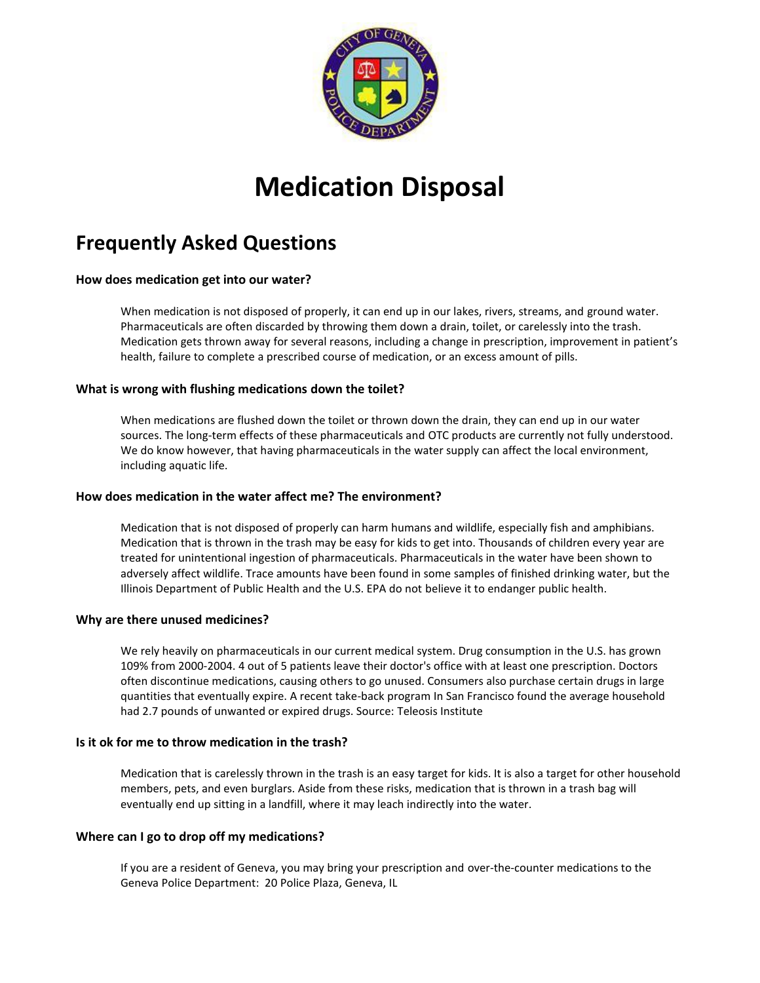

# **Medication Disposal**

# **Frequently Asked Questions**

# **How does medication get into our water?**

When medication is not disposed of properly, it can end up in our lakes, rivers, streams, and ground water. Pharmaceuticals are often discarded by throwing them down a drain, toilet, or carelessly into the trash. Medication gets thrown away for several reasons, including a change in prescription, improvement in patient's health, failure to complete a prescribed course of medication, or an excess amount of pills.

# **What is wrong with flushing medications down the toilet?**

When medications are flushed down the toilet or thrown down the drain, they can end up in our water sources. The long-term effects of these pharmaceuticals and OTC products are currently not fully understood. We do know however, that having pharmaceuticals in the water supply can affect the local environment, including aquatic life.

# **How does medication in the water affect me? The environment?**

Medication that is not disposed of properly can harm humans and wildlife, especially fish and amphibians. Medication that is thrown in the trash may be easy for kids to get into. Thousands of children every year are treated for unintentional ingestion of pharmaceuticals. Pharmaceuticals in the water have been shown to adversely affect wildlife. Trace amounts have been found in some samples of finished drinking water, but the Illinois Department of Public Health and the U.S. EPA do not believe it to endanger public health.

# **Why are there unused medicines?**

We rely heavily on pharmaceuticals in our current medical system. Drug consumption in the U.S. has grown 109% from 2000-2004. 4 out of 5 patients leave their doctor's office with at least one prescription. Doctors often discontinue medications, causing others to go unused. Consumers also purchase certain drugs in large quantities that eventually expire. A recent take-back program In San Francisco found the average household had 2.7 pounds of unwanted or expired drugs. Source: [Teleosis Institute](http://www.teleosis.org/)

# **Is it ok for me to throw medication in the trash?**

Medication that is carelessly thrown in the trash is an easy target for kids. It is also a target for other household members, pets, and even burglars. Aside from these risks, medication that is thrown in a trash bag will eventually end up sitting in a landfill, where it may leach indirectly into the water.

# **Where can I go to drop off my medications?**

If you are a resident of Geneva, you may bring your prescription and over-the-counter medications to the Geneva Police Department: 20 Police Plaza, Geneva, IL